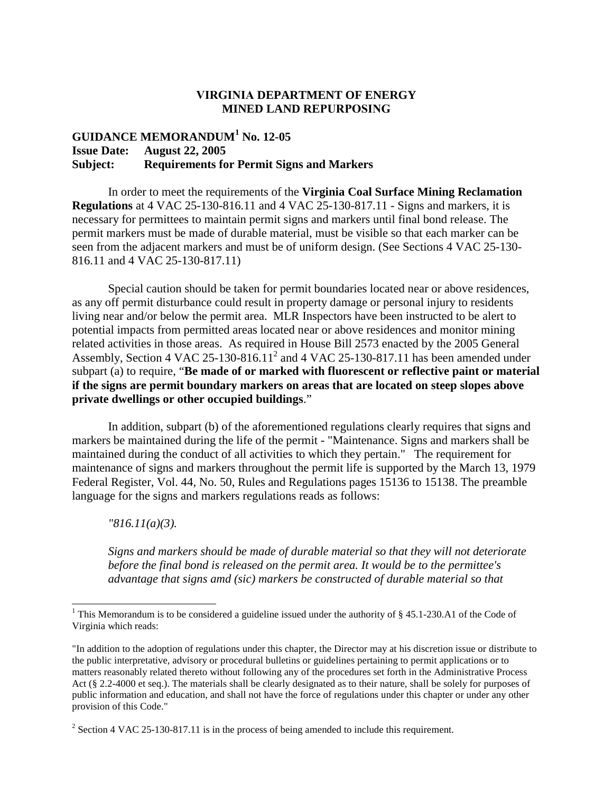## **VIRGINIA DEPARTMENT OF ENERGY MINED LAND REPURPOSING**

## **GUIDANCE MEMORANDUM<sup>1</sup> No. 12-05 Issue Date: August 22, 2005 Subject: Requirements for Permit Signs and Markers**

In order to meet the requirements of the **Virginia Coal Surface Mining Reclamation Regulations** at 4 VAC 25-130-816.11 and 4 VAC 25-130-817.11 - Signs and markers, it is necessary for permittees to maintain permit signs and markers until final bond release. The permit markers must be made of durable material, must be visible so that each marker can be seen from the adjacent markers and must be of uniform design. (See Sections 4 VAC 25-130- 816.11 and 4 VAC 25-130-817.11)

Special caution should be taken for permit boundaries located near or above residences, as any off permit disturbance could result in property damage or personal injury to residents living near and/or below the permit area. MLR Inspectors have been instructed to be alert to potential impacts from permitted areas located near or above residences and monitor mining related activities in those areas. As required in House Bill 2573 enacted by the 2005 General Assembly, Section 4 VAC 25-130-816.11<sup>2</sup> and 4 VAC 25-130-817.11 has been amended under subpart (a) to require, "**Be made of or marked with fluorescent or reflective paint or material if the signs are permit boundary markers on areas that are located on steep slopes above private dwellings or other occupied buildings**."

In addition, subpart (b) of the aforementioned regulations clearly requires that signs and markers be maintained during the life of the permit - "Maintenance. Signs and markers shall be maintained during the conduct of all activities to which they pertain." The requirement for maintenance of signs and markers throughout the permit life is supported by the March 13, 1979 Federal Register, Vol. 44, No. 50, Rules and Regulations pages 15136 to 15138. The preamble language for the signs and markers regulations reads as follows:

*"816.11(a)(3).* 

*Signs and markers should be made of durable material so that they will not deteriorate before the final bond is released on the permit area. It would be to the permittee's advantage that signs amd (sic) markers be constructed of durable material so that* 

<sup>&</sup>lt;sup>1</sup> This Memorandum is to be considered a guideline issued under the authority of  $\S$  45.1-230.A1 of the Code of Virginia which reads:

<sup>&</sup>quot;In addition to the adoption of regulations under this chapter, the Director may at his discretion issue or distribute to the public interpretative, advisory or procedural bulletins or guidelines pertaining to permit applications or to matters reasonably related thereto without following any of the procedures set forth in the Administrative Process Act (§ 2.2-4000 et seq.). The materials shall be clearly designated as to their nature, shall be solely for purposes of public information and education, and shall not have the force of regulations under this chapter or under any other provision of this Code."

<sup>&</sup>lt;sup>2</sup> Section 4 VAC 25-130-817.11 is in the process of being amended to include this requirement.